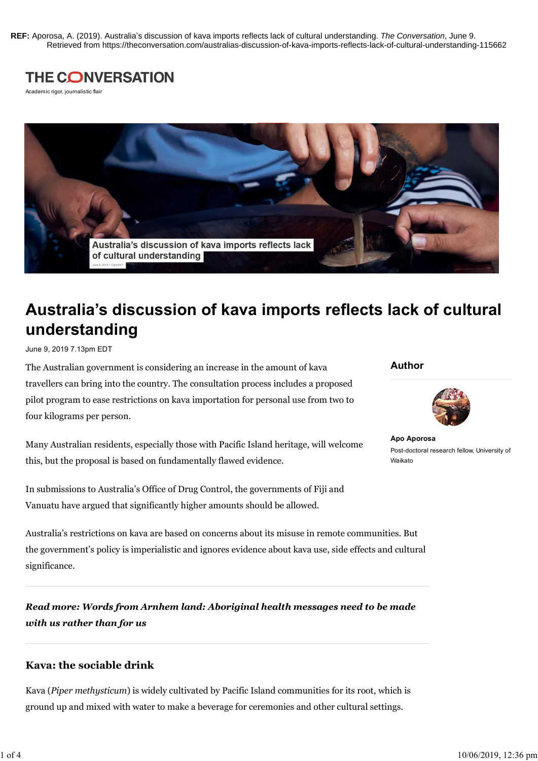REF: Aporosa, A. (2019). Australia's discussion of kava imports reflects lack of cultural understanding. The Conversation, June 9.<br>Retrieved from https://theconversation.com/australias-discussion-of-kava-imports-reflects-l **REF:** Aporosa, A. (2019). Australia's discussion of kava imports reflects lack of cultural understanding. *The Conversation*, June 9. Retrieved from https://theconversation.com/australias-discussion-of-kava-imports-reflects-lack-of-cultural-understanding-115662



Academic rigor, journalistic flair



# Australia's discussion of kava imports reflects lack of cultural understanding

June 9, 2019 7.13pm EDT

The Australian government is considering an increase in the amount of kava travellers can bring into the country. The consultation process includes a proposed pilot program to ease restrictions on kava importation for personal use from two to four kilograms per person.

Many Australian residents, especially those with Pacific Island heritage, will welcome this, but the proposal is based on fundamentally flawed evidence.

In submissions to Australia's Office of Drug Control, the governments of Fiji and Vanuatu have argued that significantly higher amounts should be allowed.

## Author



Apo Aporosa Post-doctoral research fellow, University of Waikato

Australia's restrictions on kava are based on concerns about its misuse in remote communities. But the government's policy is imperialistic and ignores evidence about kava use, side effects and cultural significance.

Read more: Words from Arnhem land: Aboriginal health messages need to be made with us rather than for us

#### Kava: the sociable drink

Kava (Piper methysticum) is widely cultivated by Pacific Island communities for its root, which is ground up and mixed with water to make a beverage for ceremonies and other cultural settings.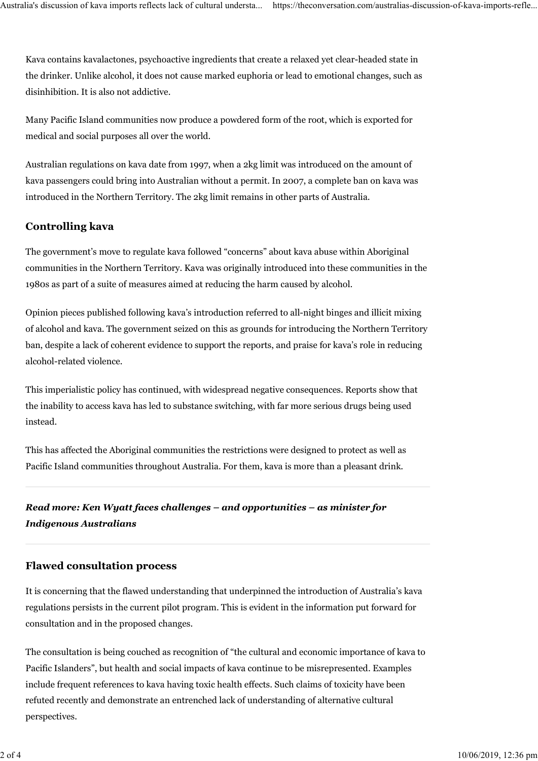Kava contains kavalactones, psychoactive ingredients that create a relaxed yet clear-headed state in the drinker. Unlike alcohol, it does not cause marked euphoria or lead to emotional changes, such as disinhibition. It is also not addictive. Australia's discussion of kava imports reflects lack of cultural understa... https://theconversation.com/australias-discussion-of-kava-imports-refle...<br>Kava contains kavalactones, psychoactive ingredients that create a rel

Many Pacific Island communities now produce a powdered form of the root, which is exported for medical and social purposes all over the world.

Australian regulations on kava date from 1997, when a 2kg limit was introduced on the amount of kava passengers could bring into Australian without a permit. In 2007, a complete ban on kava was introduced in the Northern Territory. The 2kg limit remains in other parts of Australia.

#### Controlling kava

The government's move to regulate kava followed "concerns" about kava abuse within Aboriginal communities in the Northern Territory. Kava was originally introduced into these communities in the 1980s as part of a suite of measures aimed at reducing the harm caused by alcohol.

Opinion pieces published following kava's introduction referred to all-night binges and illicit mixing of alcohol and kava. The government seized on this as grounds for introducing the Northern Territory ban, despite a lack of coherent evidence to support the reports, and praise for kava's role in reducing alcohol-related violence.

This imperialistic policy has continued, with widespread negative consequences. Reports show that the inability to access kava has led to substance switching, with far more serious drugs being used instead.

This has affected the Aboriginal communities the restrictions were designed to protect as well as Pacific Island communities throughout Australia. For them, kava is more than a pleasant drink.

Read more: Ken Wyatt faces challenges – and opportunities – as minister for Indigenous Australians

#### Flawed consultation process

It is concerning that the flawed understanding that underpinned the introduction of Australia's kava regulations persists in the current pilot program. This is evident in the information put forward for consultation and in the proposed changes.

The consultation is being couched as recognition of "the cultural and economic importance of kava to Pacific Islanders", but health and social impacts of kava continue to be misrepresented. Examples include frequent references to kava having toxic health effects. Such claims of toxicity have been refuted recently and demonstrate an entrenched lack of understanding of alternative cultural perspectives.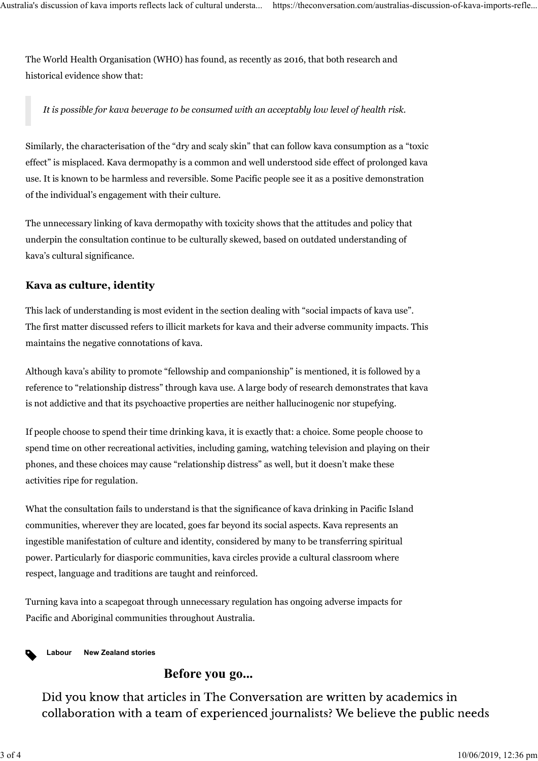The World Health Organisation (WHO) has found, as recently as 2016, that both research and historical evidence show that: Australia's discussion of kava imports reflects lack of cultural understa... https://theconversation.com/australias-discussion-of-kava-imports-refle...<br>The World Health Organisation (WHO) has found, as recently as 2016, th

It is possible for kava beverage to be consumed with an acceptably low level of health risk.

Similarly, the characterisation of the "dry and scaly skin" that can follow kava consumption as a "toxic effect" is misplaced. Kava dermopathy is a common and well understood side effect of prolonged kava use. It is known to be harmless and reversible. Some Pacific people see it as a positive demonstration of the individual's engagement with their culture.

The unnecessary linking of kava dermopathy with toxicity shows that the attitudes and policy that underpin the consultation continue to be culturally skewed, based on outdated understanding of kava's cultural significance.

#### Kava as culture, identity

This lack of understanding is most evident in the section dealing with "social impacts of kava use". The first matter discussed refers to illicit markets for kava and their adverse community impacts. This maintains the negative connotations of kava.

Although kava's ability to promote "fellowship and companionship" is mentioned, it is followed by a reference to "relationship distress" through kava use. A large body of research demonstrates that kava is not addictive and that its psychoactive properties are neither hallucinogenic nor stupefying.

If people choose to spend their time drinking kava, it is exactly that: a choice. Some people choose to spend time on other recreational activities, including gaming, watching television and playing on their phones, and these choices may cause "relationship distress" as well, but it doesn't make these activities ripe for regulation.

What the consultation fails to understand is that the significance of kava drinking in Pacific Island communities, wherever they are located, goes far beyond its social aspects. Kava represents an ingestible manifestation of culture and identity, considered by many to be transferring spiritual power. Particularly for diasporic communities, kava circles provide a cultural classroom where respect, language and traditions are taught and reinforced.

Turning kava into a scapegoat through unnecessary regulation has ongoing adverse impacts for Pacific and Aboriginal communities throughout Australia.

Labour New Zealand stories

### Before you go...

Did you know that articles in The Conversation are written by academics in collaboration with a team of experienced journalists? We believe the public needs